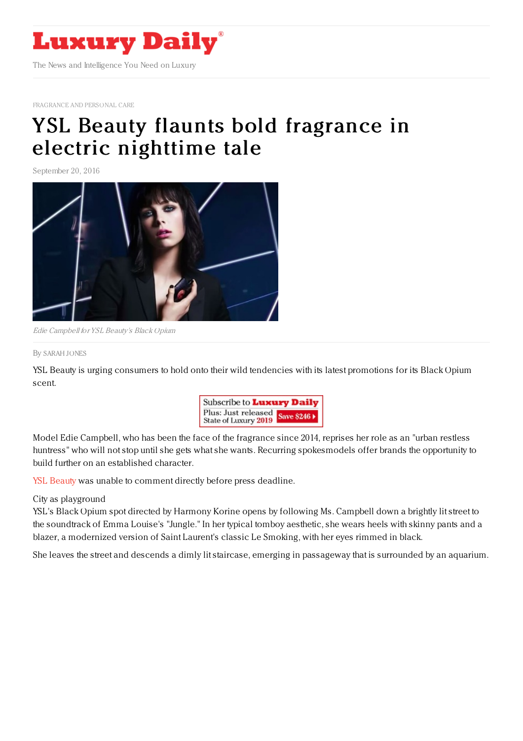

[FRAGRANCE](https://www.luxurydaily.com/category/sectors/fragrance-and-personal-care/) AND PERSONAL CARE

## YSL Beauty flaunts bold fragrance in electric [nighttime](https://www.luxurydaily.com/ysl-beauty-flaunts-bold-fragrance-in-electric-nighttime-tale/) tale

September 20, 2016



Edie Campbell for YSL Beauty's Black Opium

By [SARAH](file:///author/sarah-jones) JONES

YSL Beauty is urging consumers to hold onto their wild tendencies with its latest promotions for its Black Opium scent.



Model Edie Campbell, who has been the face of the fragrance since 2014, reprises her role as an "urban restless huntress" who will not stop until she gets what she wants. Recurring spokesmodels offer brands the opportunity to build further on an established character.

YSL [Beauty](http://www.yslbeautyus.com/) was unable to comment directly before press deadline.

## City as playground

YSL's Black Opium spot directed by Harmony Korine opens by following Ms. Campbell down a brightly lit street to the soundtrack of Emma Louise's "Jungle." In her typical tomboy aesthetic, she wears heels with skinny pants and a blazer, a modernized version of Saint Laurent's classic Le Smoking, with her eyes rimmed in black.

She leaves the street and descends a dimly lit staircase, emerging in passageway that is surrounded by an aquarium.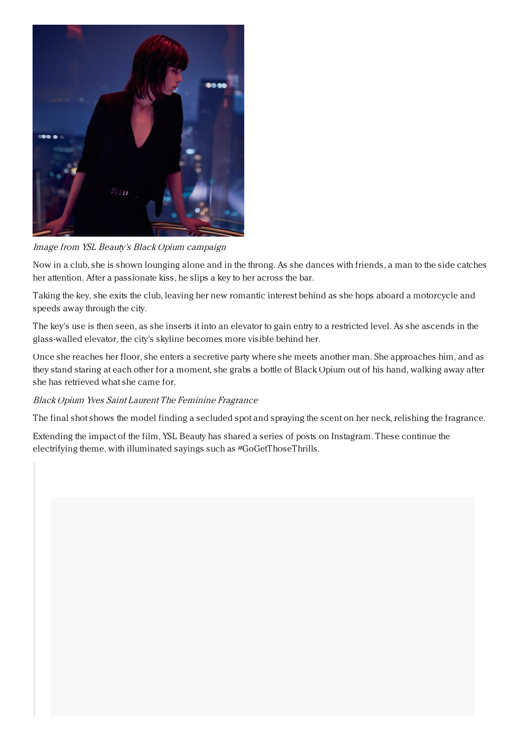

Image from YSL Beauty's Black Opium campaign

Now in a club, she is shown lounging alone and in the throng. As she dances with friends, a man to the side catches her attention. After a passionate kiss, he slips a key to her across the bar.

Taking the key, she exits the club, leaving her new romantic interest behind as she hops aboard a motorcycle and speeds away through the city.

The key's use is then seen, as she inserts it into an elevator to gain entry to a restricted level. As she ascends in the glass-walled elevator, the city's skyline becomes more visible behind her.

Once she reaches her floor, she enters a secretive party where she meets another man. She approaches him, and as they stand staring at each other for a moment, she grabs a bottle of Black Opium out of his hand, walking away after she has retrieved what she came for.

## Black Opium Yves Saint Laurent The Feminine Fragrance

The final shot shows the model finding a secluded spot and spraying the scent on her neck, relishing the fragrance.

Extending the impact of the film, YSL Beauty has shared a series of posts on Instagram. These continue the electrifying theme, with illuminated sayings such as #GoGetThoseThrills.